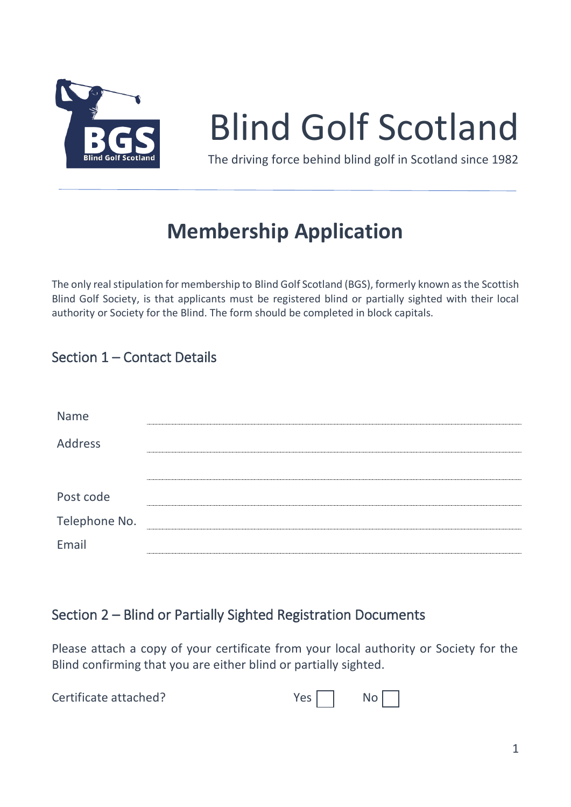

# Blind Golf Scotland

The driving force behind blind golf in Scotland since 1982

# **Membership Application**

The only real stipulation for membership to Blind Golf Scotland (BGS), formerly known asthe Scottish Blind Golf Society, is that applicants must be registered blind or partially sighted with their local authority or Society for the Blind. The form should be completed in block capitals.

## Section 1 – Contact Details

| Name          |  |
|---------------|--|
| Address       |  |
|               |  |
| Post code     |  |
| Telephone No. |  |
| Email         |  |

#### Section 2 – Blind or Partially Sighted Registration Documents

Please attach a copy of your certificate from your local authority or Society for the Blind confirming that you are either blind or partially sighted.

| Certificate attached? |  | $Yes \fbox{No}$ |
|-----------------------|--|-----------------|
|-----------------------|--|-----------------|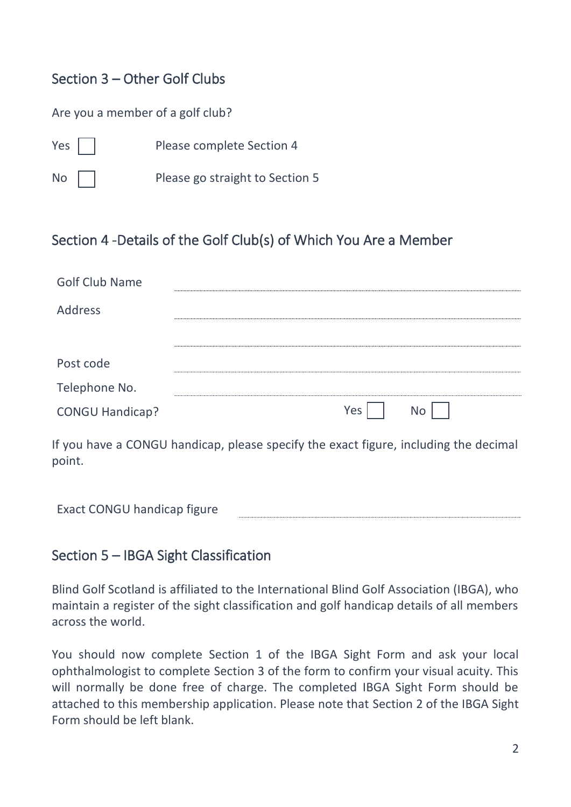## Section 3 – Other Golf Clubs

#### Are you a member of a golf club?

- Yes | | Please complete Section 4
- No | | Please go straight to Section 5

#### Section 4 -Details of the Golf Club(s) of Which You Are a Member

| <b>Golf Club Name</b>  |            |
|------------------------|------------|
| Address                |            |
|                        |            |
| Post code              |            |
| Telephone No.          |            |
| <b>CONGU Handicap?</b> | Yes<br>No. |

If you have a CONGU handicap, please specify the exact figure, including the decimal point.

Exact CONGU handicap figure

#### Section 5 – IBGA Sight Classification

Blind Golf Scotland is affiliated to the International Blind Golf Association (IBGA), who maintain a register of the sight classification and golf handicap details of all members across the world.

You should now complete Section 1 of the IBGA Sight Form and ask your local ophthalmologist to complete Section 3 of the form to confirm your visual acuity. This will normally be done free of charge. The completed IBGA Sight Form should be attached to this membership application. Please note that Section 2 of the IBGA Sight Form should be left blank.